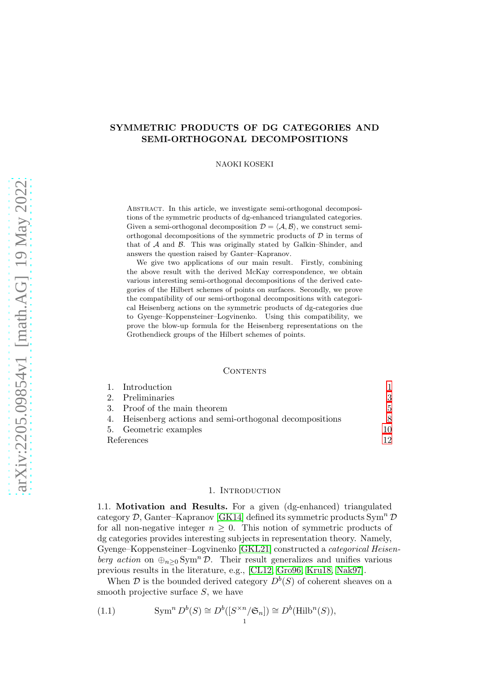# SYMMETRIC PRODUCTS OF DG CATEGORIES AND SEMI-ORTHOGONAL DECOMPOSITIONS

NAOKI KOSEKI

Abstract. In this article, we investigate semi-orthogonal decompositions of the symmetric products of dg-enhanced triangulated categories. Given a semi-orthogonal decomposition  $\mathcal{D} = \langle \mathcal{A}, \mathcal{B} \rangle$ , we construct semiorthogonal decompositions of the symmetric products of  $D$  in terms of that of  $A$  and  $B$ . This was originally stated by Galkin–Shinder, and answers the question raised by Ganter–Kapranov.

We give two applications of our main result. Firstly, combining the above result with the derived McKay correspondence, we obtain various interesting semi-orthogonal decompositions of the derived categories of the Hilbert schemes of points on surfaces. Secondly, we prove the compatibility of our semi-orthogonal decompositions with categorical Heisenberg actions on the symmetric products of dg-categories due to Gyenge–Koppensteiner–Logvinenko. Using this compatibility, we prove the blow-up formula for the Heisenberg representations on the Grothendieck groups of the Hilbert schemes of points.

#### CONTENTS

|            | 1. Introduction                                          |     |
|------------|----------------------------------------------------------|-----|
|            | 2. Preliminaries                                         | 3   |
|            | 3. Proof of the main theorem                             | 5.  |
|            | 4. Heisenberg actions and semi-orthogonal decompositions | 8.  |
|            | 5. Geometric examples                                    | 10  |
| References |                                                          | 19. |

### 1. INTRODUCTION

<span id="page-0-0"></span>1.1. Motivation and Results. For a given (dg-enhanced) triangulated category  $\mathcal{D}$ , Ganter–Kapranov [\[GK14\]](#page-11-1) defined its symmetric products Sym<sup>n</sup>  $\mathcal{D}$ for all non-negative integer  $n \geq 0$ . This notion of symmetric products of dg categories provides interesting subjects in representation theory. Namely, Gyenge–Koppensteiner–Logvinenko [\[GKL21\]](#page-11-2) constructed a categorical Heisenberg action on  $\bigoplus_{n>0}$  Sym<sup>n</sup> D. Their result generalizes and unifies various previous results in the literature, e.g., [\[CL12,](#page-11-3) [Gro96,](#page-12-0) [Kru18,](#page-12-1) [Nak97\]](#page-12-2).

When  $\mathcal D$  is the bounded derived category  $D^b(S)$  of coherent sheaves on a smooth projective surface  $S$ , we have

<span id="page-0-1"></span>(1.1) 
$$
\text{Sym}^n D^b(S) \cong D^b([S^{\times n}/\mathfrak{S}_n]) \cong D^b(\text{Hilb}^n(S)),
$$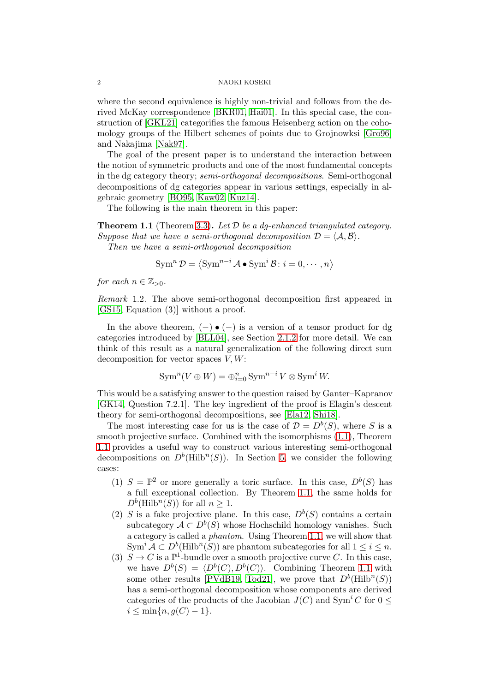where the second equivalence is highly non-trivial and follows from the derived McKay correspondence [\[BKR01,](#page-11-4) [Hai01\]](#page-12-3). In this special case, the construction of [\[GKL21\]](#page-11-2) categorifies the famous Heisenberg action on the cohomology groups of the Hilbert schemes of points due to Grojnowksi [\[Gro96\]](#page-12-0) and Nakajima [\[Nak97\]](#page-12-2).

The goal of the present paper is to understand the interaction between the notion of symmetric products and one of the most fundamental concepts in the dg category theory; semi-orthogonal decompositions. Semi-orthogonal decompositions of dg categories appear in various settings, especially in algebraic geometry [\[BO95,](#page-11-5) [Kaw02,](#page-12-4) [Kuz14\]](#page-12-5).

The following is the main theorem in this paper:

<span id="page-1-0"></span>**Theorem 1.1** (Theorem [3.3\)](#page-7-1). Let  $D$  be a dg-enhanced triangulated category. Suppose that we have a semi-orthogonal decomposition  $\mathcal{D} = \langle \mathcal{A}, \mathcal{B} \rangle$ .

Then we have a semi-orthogonal decomposition

$$
\operatorname{Sym}^n \mathcal{D} = \langle \operatorname{Sym}^{n-i} \mathcal{A} \bullet \operatorname{Sym}^i \mathcal{B} : i = 0, \cdots, n \rangle
$$

for each  $n \in \mathbb{Z}_{>0}$ .

Remark 1.2. The above semi-orthogonal decomposition first appeared in [\[GS15,](#page-12-6) Equation (3)] without a proof.

In the above theorem,  $(-) \bullet (-)$  is a version of a tensor product for dg categories introduced by [\[BLL04\]](#page-11-6), see Section [2.1.2](#page-3-0) for more detail. We can think of this result as a natural generalization of the following direct sum decomposition for vector spaces  $V, W$ :

$$
\operatorname{Sym}^n(V \oplus W) = \bigoplus_{i=0}^n \operatorname{Sym}^{n-i} V \otimes \operatorname{Sym}^i W.
$$

This would be a satisfying answer to the question raised by Ganter–Kapranov [\[GK14,](#page-11-1) Question 7.2.1]. The key ingredient of the proof is Elagin's descent theory for semi-orthogonal decompositions, see [\[Ela12,](#page-11-7) [Shi18\]](#page-12-7).

The most interesting case for us is the case of  $\mathcal{D} = D^b(S)$ , where S is a smooth projective surface. Combined with the isomorphisms [\(1.1\)](#page-0-1), Theorem [1.1](#page-1-0) provides a useful way to construct various interesting semi-orthogonal decompositions on  $D^b$ (Hilb<sup>n</sup>(S)). In Section [5,](#page-9-0) we consider the following cases:

- (1)  $S = \mathbb{P}^2$  or more generally a toric surface. In this case,  $D^b(S)$  has a full exceptional collection. By Theorem [1.1,](#page-1-0) the same holds for  $D^b$ (Hilb<sup>n</sup>(S)) for all  $n \geq 1$ .
- (2) S is a fake projective plane. In this case,  $D<sup>b</sup>(S)$  contains a certain subcategory  $A \subset D^b(S)$  whose Hochschild homology vanishes. Such a category is called a phantom. Using Theorem [1.1,](#page-1-0) we will show that  $\text{Sym}^i \mathcal{A} \subset D^b(\text{Hilb}^n(S))$  are phantom subcategories for all  $1 \leq i \leq n$ .
- (3)  $S \to C$  is a  $\mathbb{P}^1$ -bundle over a smooth projective curve C. In this case, we have  $D^b(S) = \langle D^b(C), D^b(C) \rangle$ . Combining Theorem [1.1](#page-1-0) with some other results [\[PVdB19,](#page-12-8) [Tod21\]](#page-12-9), we prove that  $D^b$ (Hilb<sup>n</sup>(S)) has a semi-orthogonal decomposition whose components are derived categories of the products of the Jacobian  $J(C)$  and Sym<sup>i</sup>C for  $0 \leq$  $i \leq \min\{n, g(C) - 1\}.$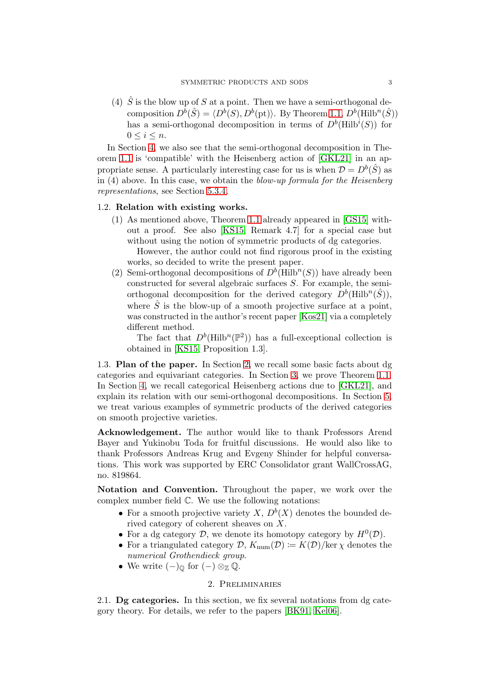(4)  $\hat{S}$  is the blow up of S at a point. Then we have a semi-orthogonal decomposition  $D^b(\hat{S}) = \langle D^b(S), D^b(\text{pt})\rangle$ . By Theorem [1.1,](#page-1-0)  $D^b(\text{Hilb}^n(\hat{S}))$ has a semi-orthogonal decomposition in terms of  $D^b$ (Hilb<sup>*i*</sup>(S)) for  $0 \leq i \leq n$ .

In Section [4,](#page-7-0) we also see that the semi-orthogonal decomposition in Theorem [1.1](#page-1-0) is 'compatible' with the Heisenberg action of [\[GKL21\]](#page-11-2) in an appropriate sense. A particularly interesting case for us is when  $\mathcal{D} = D^b(\hat{S})$  as in (4) above. In this case, we obtain the blow-up formula for the Heisenberg representations, see Section [5.3.4.](#page-11-8)

### 1.2. Relation with existing works.

(1) As mentioned above, Theorem [1.1](#page-1-0) already appeared in [\[GS15\]](#page-12-6) without a proof. See also [\[KS15,](#page-12-10) Remark 4.7] for a special case but without using the notion of symmetric products of dg categories. However, the author could not find rigorous proof in the existing

works, so decided to write the present paper.

(2) Semi-orthogonal decompositions of  $D^b$ (Hilb<sup>n</sup>(S)) have already been constructed for several algebraic surfaces S. For example, the semiorthogonal decomposition for the derived category  $D^b$ (Hilb<sup>n</sup> $(\hat{S})$ ), where  $\hat{S}$  is the blow-up of a smooth projective surface at a point, was constructed in the author's recent paper [\[Kos21\]](#page-12-11) via a completely different method.

The fact that  $D^b(\text{Hilb}^n(\mathbb{P}^2))$  has a full-exceptional collection is obtained in [\[KS15,](#page-12-10) Proposition 1.3].

1.3. Plan of the paper. In Section [2,](#page-2-0) we recall some basic facts about dg categories and equivariant categories. In Section [3,](#page-4-0) we prove Theorem [1.1.](#page-1-0) In Section [4,](#page-7-0) we recall categorical Heisenberg actions due to [\[GKL21\]](#page-11-2), and explain its relation with our semi-orthogonal decompositions. In Section [5,](#page-9-0) we treat various examples of symmetric products of the derived categories on smooth projective varieties.

Acknowledgement. The author would like to thank Professors Arend Bayer and Yukinobu Toda for fruitful discussions. He would also like to thank Professors Andreas Krug and Evgeny Shinder for helpful conversations. This work was supported by ERC Consolidator grant WallCrossAG, no. 819864.

Notation and Convention. Throughout the paper, we work over the complex number field C. We use the following notations:

- For a smooth projective variety X,  $D^b(X)$  denotes the bounded derived category of coherent sheaves on X.
- For a dg category  $D$ , we denote its homotopy category by  $H^0(D)$ .
- For a triangulated category  $\mathcal{D}, K_{\text{num}}(\mathcal{D}) := K(\mathcal{D})/\text{ker } \chi$  denotes the numerical Grothendieck group.
- <span id="page-2-0"></span>• We write  $(-)_{\mathbb{Q}}$  for  $(-) \otimes_{\mathbb{Z}} \mathbb{Q}$ .

## 2. Preliminaries

2.1. Dg categories. In this section, we fix several notations from dg category theory. For details, we refer to the papers [\[BK91,](#page-11-9) [Kel06\]](#page-12-12).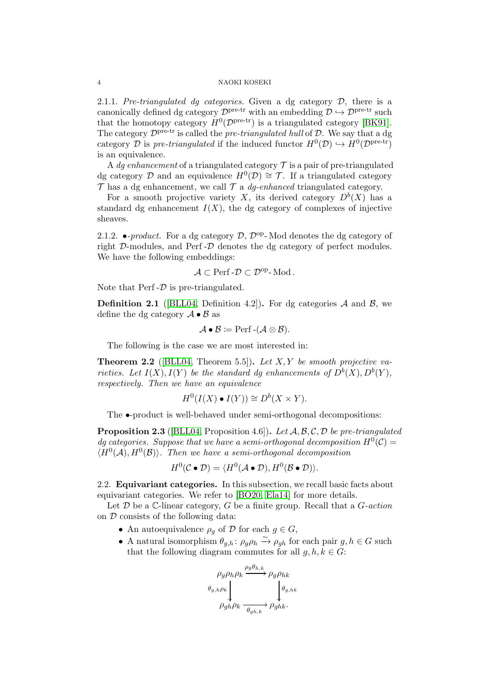2.1.1. Pre-triangulated dg categories. Given a dg category  $D$ , there is a canonically defined dg category  $\mathcal{D}^{\text{pre-tr}}$  with an embedding  $\mathcal{D} \hookrightarrow \mathcal{D}^{\text{pre-tr}}$  such that the homotopy category  $H^0(\mathcal{D}^{\text{pre-tr}})$  is a triangulated category [\[BK91\]](#page-11-9). The category  $\mathcal{D}^{\text{pre-tr}}$  is called the *pre-triangulated hull* of  $\mathcal{D}$ . We say that a dg category D is pre-triangulated if the induced functor  $H^0(\mathcal{D}) \hookrightarrow H^0(\mathcal{D}^{\text{pre-tr}})$ is an equivalence.

A dg enhancement of a triangulated category  $\mathcal T$  is a pair of pre-triangulated dg category D and an equivalence  $H^0(\mathcal{D}) \cong \mathcal{T}$ . If a triangulated category  $\mathcal T$  has a dg enhancement, we call  $\mathcal T$  a *dg-enhanced* triangulated category.

For a smooth projective variety X, its derived category  $D^{b}(X)$  has a standard dg enhancement  $I(X)$ , the dg category of complexes of injective sheaves.

<span id="page-3-0"></span>2.1.2. •-product. For a dg category  $D$ ,  $D^{op}$ -Mod denotes the dg category of right D-modules, and Perf -D denotes the dg category of perfect modules. We have the following embeddings:

$$
\mathcal{A}\subset \mathrm{Perf}\text{-}\mathcal{D}\subset \mathcal{D}^{\mathrm{op}}\text{-}\mathrm{Mod}\,.
$$

Note that  $\text{Perf}-\mathcal{D}$  is pre-triangulated.

**Definition 2.1** ([\[BLL04,](#page-11-6) Definition 4.2]). For dg categories  $A$  and  $B$ , we define the dg category  $\mathcal{A} \bullet \mathcal{B}$  as

$$
\mathcal{A} \bullet \mathcal{B} \coloneqq \operatorname{Perf} \text{-} (\mathcal{A} \otimes \mathcal{B}).
$$

The following is the case we are most interested in:

**Theorem 2.2** ([\[BLL04,](#page-11-6) Theorem 5.5]). Let X, Y be smooth projective varieties. Let  $I(X), I(Y)$  be the standard dg enhancements of  $D^b(X), D^b(Y)$ , respectively. Then we have an equivalence

$$
H^0(I(X) \bullet I(Y)) \cong D^b(X \times Y).
$$

The  $\bullet$ -product is well-behaved under semi-orthogonal decompositions:

<span id="page-3-1"></span>**Proposition 2.3** ([\[BLL04,](#page-11-6) Proposition 4.6]). Let  $A, B, C, D$  be pre-triangulated dg categories. Suppose that we have a semi-orthogonal decomposition  $H^0(\mathcal{C}) =$  $\langle H^0(\mathcal{A}), H^0(\mathcal{B}) \rangle$ . Then we have a semi-orthogonal decomposition

$$
H^0(\mathcal{C} \bullet \mathcal{D}) = \langle H^0(\mathcal{A} \bullet \mathcal{D}), H^0(\mathcal{B} \bullet \mathcal{D}) \rangle.
$$

2.2. Equivariant categories. In this subsection, we recall basic facts about equivariant categories. We refer to [\[BO20,](#page-11-10) [Ela14\]](#page-11-11) for more details.

Let  $\mathcal D$  be a C-linear category,  $G$  be a finite group. Recall that a  $G\text{-}action$ on  $D$  consists of the following data:

- An autoequivalence  $\rho_q$  of  $\mathcal D$  for each  $g \in G$ ,
- A natural isomorphism  $\theta_{g,h}$ :  $\rho_g \rho_h \xrightarrow{\sim} \rho_{gh}$  for each pair  $g, h \in G$  such that the following diagram commutes for all  $g, h, k \in G$ :

$$
\rho_g \rho_h \rho_k \xrightarrow{\rho_g \theta_{h,k}} \rho_g \rho_{hk}
$$
  

$$
\theta_{g,h} \rho_k \xrightarrow[\rho_{gh} \rho_k \rightarrow \rho_{ghk}]{\theta_{g,hk}}
$$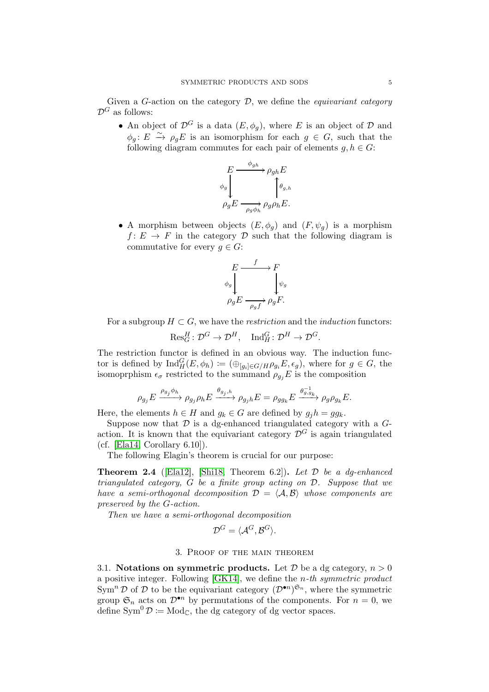Given a G-action on the category  $D$ , we define the *equivariant category*  $\mathcal{D}^G$  as follows:

• An object of  $\mathcal{D}^G$  is a data  $(E, \phi_q)$ , where E is an object of D and  $\phi_g: E \xrightarrow{\sim} \rho_g E$  is an isomorphism for each  $g \in G$ , such that the following diagram commutes for each pair of elements  $g, h \in G$ :



• A morphism between objects  $(E, \phi_g)$  and  $(F, \psi_g)$  is a morphism  $f: E \to F$  in the category D such that the following diagram is commutative for every  $q \in G$ :



For a subgroup  $H \subset G$ , we have the *restriction* and the *induction* functors:

 $\operatorname{Res}_G^H : \mathcal{D}^G \to \mathcal{D}^H$ ,  $\operatorname{Ind}_H^G : \mathcal{D}^H \to \mathcal{D}^G$ .

The restriction functor is defined in an obvious way. The induction functor is defined by  $\text{Ind}_{H}^{G}(E, \phi_h) := (\bigoplus_{[g_i] \in G/H} \rho_{g_i} E, \epsilon_g),$  where for  $g \in G$ , the isomoprphism  $\epsilon_{\sigma}$  restricted to the summand  $\rho_{g_i}E$  is the composition

$$
\rho_{g_j} E \xrightarrow{\rho_{g_j} \phi_h} \rho_{g_j} \rho_h E \xrightarrow{\theta_{g_j,h}} \rho_{g_j h} E = \rho_{g g_k} E \xrightarrow{\theta_{g,g_k}^{-1}} \rho_{g} \rho_{g_k} E.
$$

Here, the elements  $h \in H$  and  $g_k \in G$  are defined by  $g_j h = g g_k$ .

Suppose now that  $\mathcal D$  is a dg-enhanced triangulated category with a  $G$ action. It is known that the equivariant category  $\mathcal{D}^G$  is again triangulated  $(cf. [Ela14, Corollary 6.10]).$  $(cf. [Ela14, Corollary 6.10]).$  $(cf. [Ela14, Corollary 6.10]).$ 

The following Elagin's theorem is crucial for our purpose:

<span id="page-4-1"></span>**Theorem 2.4** ([\[Ela12\]](#page-11-7), [\[Shi18,](#page-12-7) Theorem 6.2]). Let  $\mathcal{D}$  be a dq-enhanced triangulated category, G be a finite group acting on D. Suppose that we have a semi-orthogonal decomposition  $\mathcal{D} = \langle \mathcal{A}, \mathcal{B} \rangle$  whose components are preserved by the G-action.

Then we have a semi-orthogonal decomposition

$$
\mathcal{D}^G = \langle \mathcal{A}^G, \mathcal{B}^G \rangle.
$$

## 3. Proof of the main theorem

<span id="page-4-0"></span>3.1. Notations on symmetric products. Let  $\mathcal D$  be a dg category,  $n > 0$ a positive integer. Following  $[GK14]$ , we define the *n*-th symmetric product  $\text{Sym}^n \mathcal{D}$  of  $\mathcal D$  to be the equivariant category  $(\mathcal{D}^{\bullet n})^{\mathfrak{S}_n}$ , where the symmetric group  $\mathfrak{S}_n$  acts on  $\mathcal{D}^{\bullet n}$  by permutations of the components. For  $n = 0$ , we define  $Sym^0 \mathcal{D} \coloneqq Mod_{\mathbb{C}}$ , the dg category of dg vector spaces.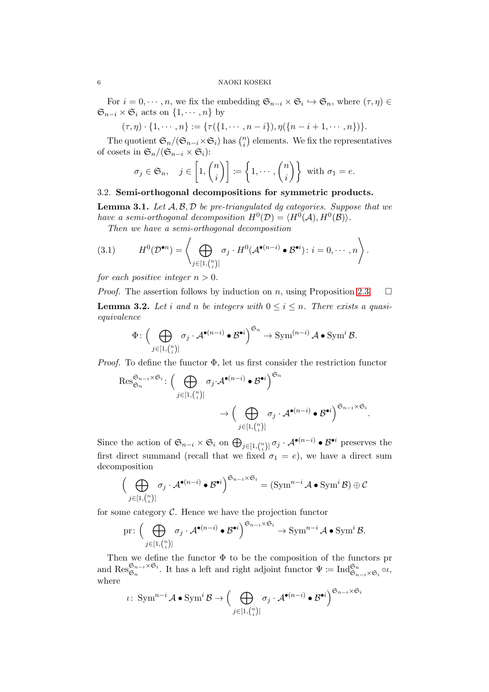For  $i = 0, \dots, n$ , we fix the embedding  $\mathfrak{S}_{n-i} \times \mathfrak{S}_i \hookrightarrow \mathfrak{S}_n$ , where  $(\tau, \eta) \in$  $\mathfrak{S}_{n-i} \times \mathfrak{S}_i$  acts on  $\{1, \cdots, n\}$  by

$$
(\tau,\eta)\cdot\{1,\cdots,n\}:=\{\tau(\{1,\cdots,n-i\}),\eta(\{n-i+1,\cdots,n\})\}.
$$

The quotient  $\mathfrak{S}_n/(\mathfrak{S}_{n-i}\times \mathfrak{S}_i)$  has  $\binom{n}{i}$  $\binom{n}{i}$  elements. We fix the representatives of cosets in  $\mathfrak{S}_n/(\mathfrak{S}_{n-i}\times \mathfrak{S}_i)$ :

$$
\sigma_j \in \mathfrak{S}_n, \quad j \in \left[1, \binom{n}{i}\right] := \left\{1, \cdots, \binom{n}{i}\right\} \text{ with } \sigma_1 = e.
$$

## 3.2. Semi-orthogonal decompositions for symmetric products.

<span id="page-5-0"></span>**Lemma 3.1.** Let  $A, B, D$  be pre-triangulated dg categories. Suppose that we have a semi-orthogonal decomposition  $H^0(\mathcal{D}) = \langle H^0(\mathcal{A}), H^0(\mathcal{B}) \rangle$ .

Then we have a semi-orthogonal decomposition

(3.1) 
$$
H^{0}(\mathcal{D}^{\bullet n}) = \left\langle \bigoplus_{j \in [1, {n \choose i}]} \sigma_{j} \cdot H^{0}(\mathcal{A}^{\bullet(n-i)} \bullet \mathcal{B}^{\bullet i}) : i = 0, \cdots, n \right\rangle.
$$

for each positive integer  $n > 0$ .

<span id="page-5-1"></span>*Proof.* The assertion follows by induction on n, using Proposition [2.3.](#page-3-1)  $\Box$ **Lemma 3.2.** Let i and n be integers with  $0 \le i \le n$ . There exists a quasiequivalence

$$
\Phi\colon \Big(\bigoplus_{j\in[1,{n\choose i}]}\sigma_j\cdot \mathcal{A}^{\bullet(n-i)}\bullet \mathcal{B}^{\bullet i}\Big)^{\mathfrak{S}_n}\to \text{Sym}^{(n-i)}\mathcal{A}\bullet \text{Sym}^i\mathcal{B}.
$$

*Proof.* To define the functor  $\Phi$ , let us first consider the restriction functor

$$
\operatorname{Res}_{\mathfrak{S}_n}^{\mathfrak{S}_{n-i}\times\mathfrak{S}_i}:\Big(\bigoplus_{j\in[1,{n\choose i}]}\sigma_j\cdot\mathcal{A}^{\bullet(n-i)}\bullet\mathcal{B}^{\bullet i}\Big)^{\mathfrak{S}_n}\to \Big(\bigoplus_{j\in[1,{n\choose i}]}\sigma_j\cdot\mathcal{A}^{\bullet(n-i)}\bullet\mathcal{B}^{\bullet i}\Big)^{\mathfrak{S}_{n-i}\times\mathfrak{S}_i}.
$$

Since the action of  $\mathfrak{S}_{n-i} \times \mathfrak{S}_i$  on  $\bigoplus_{j \in [1, {n \choose i}]}\sigma_j \cdot \mathcal{A}^{\bullet(n-i)} \bullet \mathcal{B}^{\bullet i}$  preserves the first direct summand (recall that we fixed  $\sigma_1 = e$ ), we have a direct sum decomposition

$$
\Big(\bigoplus_{j\in [1,{n\choose i}]}\sigma_j\cdot \mathcal{A}^{\bullet(n-i)}\bullet \mathcal{B}^{\bullet i}\Big)^{\mathfrak{S}_{n-i}\times \mathfrak{S}_i}=(\mathrm{Sym}^{n-i}\mathcal{A}\bullet \mathrm{Sym}^i\mathcal{B})\oplus \mathcal{C}
$$

for some category  $C$ . Hence we have the projection functor

$$
\text{pr}: \Big(\bigoplus_{j\in[1,{n\choose i}]}\sigma_j\cdot \mathcal{A}^{\bullet(n-i)}\bullet \mathcal{B}^{\bullet i}\Big)^{\mathfrak{S}_{n-i}\times\mathfrak{S}_i}\to \text{Sym}^{n-i}\mathcal{A}\bullet \text{Sym}^i\mathcal{B}.
$$

Then we define the functor  $\Phi$  to be the composition of the functors pr and  $\operatorname{Res}_{\mathfrak{S}_n}^{\mathfrak{S}_{n-i}\times\mathfrak{S}_i}$ . It has a left and right adjoint functor  $\Psi:=\operatorname{Ind}_{\mathfrak{S}_{n-i}\times\mathfrak{S}_i}^{\mathfrak{S}_n} \circ \iota$ , where

$$
\iota\colon \operatorname{Sym}^{n-i}\mathcal{A}\bullet \operatorname{Sym}^i\mathcal{B} \to \Big(\bigoplus_{j\in [1,{n\choose i}]}\sigma_j\cdot \mathcal{A}^{\bullet(n-i)}\bullet \mathcal{B}^{\bullet i}\Big)^{\mathfrak{S}_{n-i}\times \mathfrak{S}_i}
$$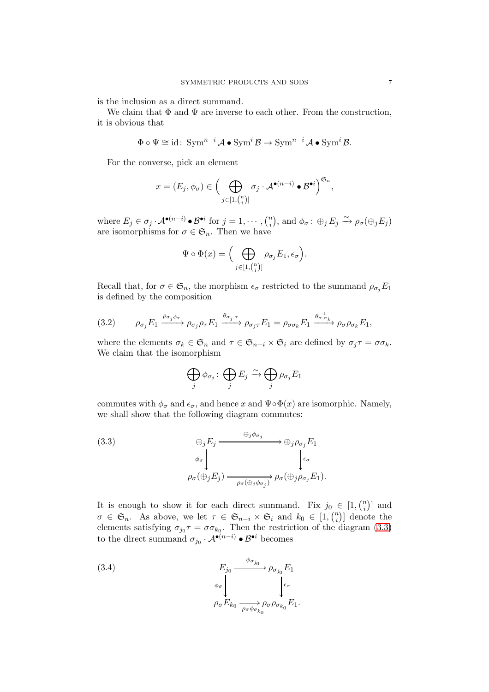is the inclusion as a direct summand.

We claim that  $\Phi$  and  $\Psi$  are inverse to each other. From the construction, it is obvious that

$$
\Phi \circ \Psi \cong id: \operatorname{Sym}^{n-i} \mathcal{A} \bullet \operatorname{Sym}^{i} \mathcal{B} \to \operatorname{Sym}^{n-i} \mathcal{A} \bullet \operatorname{Sym}^{i} \mathcal{B}.
$$

For the converse, pick an element

$$
x=(E_j,\phi_\sigma)\in \Big(\bigoplus_{j\in [1,{n\choose i}]}\sigma_j\cdot \mathcal{A}^{\bullet(n-i)}\bullet \mathcal{B}^{\bullet i}\Big)^{\mathfrak{S}_n},
$$

where  $E_j \in \sigma_j \cdot \mathcal{A}^{\bullet(n-i)} \bullet \mathcal{B}^{\bullet i}$  for  $j = 1, \cdots, {n \choose i}$  $\phi_i^n$ , and  $\phi_{\sigma} \colon \bigoplus_j E_j \xrightarrow{\sim} \rho_{\sigma}(\bigoplus_j E_j)$ are isomorphisms for  $\sigma \in \mathfrak{S}_n$ . Then we have

$$
\Psi \circ \Phi(x) = \Big( \bigoplus_{j \in [1, {n \choose i}] } \rho_{\sigma_j} E_1, \epsilon_{\sigma} \Big).
$$

Recall that, for  $\sigma \in \mathfrak{S}_n$ , the morphism  $\epsilon_{\sigma}$  restricted to the summand  $\rho_{\sigma_i}E_1$ is defined by the composition

<span id="page-6-2"></span>(3.2) 
$$
\rho_{\sigma_j} E_1 \xrightarrow{\rho_{\sigma_j} \phi_{\tau}} \rho_{\sigma_j} \rho_{\tau} E_1 \xrightarrow{\theta_{\sigma_j, \tau}} \rho_{\sigma_j \tau} E_1 = \rho_{\sigma \sigma_k} E_1 \xrightarrow{\theta_{\sigma, \sigma_k}^{-1}} \rho_{\sigma} \rho_{\sigma_k} E_1,
$$

where the elements  $\sigma_k \in \mathfrak{S}_n$  and  $\tau \in \mathfrak{S}_{n-i} \times \mathfrak{S}_i$  are defined by  $\sigma_j \tau = \sigma \sigma_k$ . We claim that the isomorphism

$$
\bigoplus_j \phi_{\sigma_j} : \bigoplus_j E_j \xrightarrow{\sim} \bigoplus_j \rho_{\sigma_j} E_1
$$

commutes with  $\phi_{\sigma}$  and  $\epsilon_{\sigma}$ , and hence x and  $\Psi \circ \Phi(x)$  are isomorphic. Namely, we shall show that the following diagram commutes:

<span id="page-6-0"></span>(3.3)  
\n
$$
\oplus_j E_j \xrightarrow{\oplus_j \phi_{\sigma_j}} \oplus_j \rho_{\sigma_j} E_1
$$
\n
$$
\phi_{\sigma} \downarrow \qquad \qquad \downarrow \epsilon_{\sigma}
$$
\n
$$
\rho_{\sigma}(\oplus_j E_j) \xrightarrow{\rho_{\sigma}(\oplus_j \phi_{\sigma_j})} \rho_{\sigma}(\oplus_j \rho_{\sigma_j} E_1).
$$

It is enough to show it for each direct summand. Fix  $j_0 \in [1, \binom{n}{i}]$  $\binom{n}{i}$  and  $\sigma \in \mathfrak{S}_n$ . As above, we let  $\tau \in \mathfrak{S}_{n-i} \times \mathfrak{S}_i$  and  $k_0 \in [1, \binom{n}{i}]$  $\binom{n}{i}$  denote the elements satisfying  $\sigma_{j_0}\tau = \sigma \sigma_{k_0}$ . Then the restriction of the diagram [\(3.3\)](#page-6-0) to the direct summand  $\sigma_{j_0} \cdot A^{\bullet(n-i)} \bullet \mathcal{B}^{\bullet i}$  becomes

<span id="page-6-1"></span>(3.4) 
$$
E_{j_0} \xrightarrow{\phi_{\sigma_{j_0}}} \rho_{\sigma_{j_0}} E_1
$$

$$
\phi_{\sigma} \downarrow \phi_{\sigma}
$$

$$
\rho_{\sigma} E_{k_0} \xrightarrow[\rho_{\sigma} \phi_{\sigma_{k_0}}]} \rho_{\sigma} \rho_{\sigma_{k_0}} E_1.
$$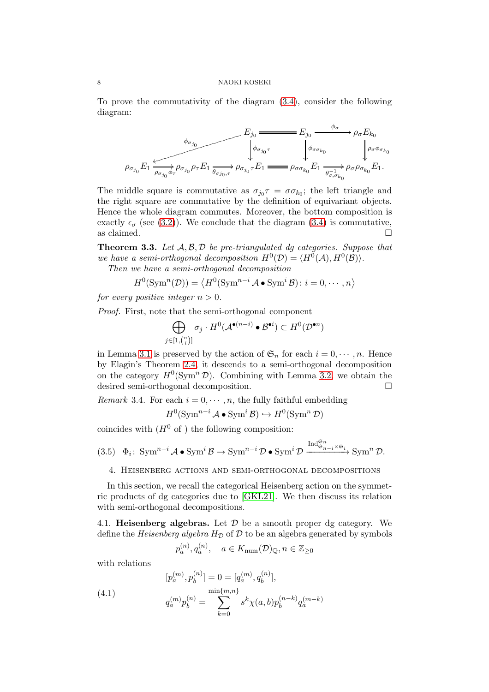To prove the commutativity of the diagram [\(3.4\)](#page-6-1), consider the following diagram:

$$
E_{j_0} \xrightarrow{\phi_{\sigma_{j_0}}} E_{j_0} \xrightarrow{\phi_{\sigma_{j_0}}} \rho_{\sigma_{j_0}F_{j_0}} \rho_{\sigma_{j_0}\sigma} E_{j_0} \xrightarrow{\phi_{\sigma_{j_0}\sigma}} \rho_{\sigma_{j_0}\sigma} E_{j_0} \xrightarrow{\phi_{\sigma_{j_0}\sigma}} \rho_{\sigma_{j_0}\sigma} E_{j_0} \xrightarrow{\phi_{\sigma_{\sigma_{\sigma_{\sigma_{\sigma}}}}}} \rho_{\sigma_{j_0}\sigma} E_{j_0} E_{j_0} E_{j_0} E_{j_0} E_{j_0} E_{j_0} E_{j_0} E_{j_0} E_{j_0} E_{j_0} E_{j_0} E_{j_0} E_{j_0} E_{j_0} E_{j_0} E_{j_0} E_{j_0} E_{j_0} E_{j_0} E_{j_0} E_{j_0} E_{j_0} E_{j_0} E_{j_0} E_{j_0} E_{j_0} E_{j_0} E_{j_0} E_{j_0} E_{j_0} E_{j_0} E_{j_0} E_{j_0} E_{j_0} E_{j_0} E_{j_0} E_{j_0} E_{j_0} E_{j_0} E_{j_0} E_{j_0} E_{j_0} E_{j_0} E_{j_0} E_{j_0} E_{j_0} E_{j_0} E_{j_0} E_{j_0} E_{j_0} E_{j_0} E_{j_0} E_{j_0} E_{j_0} E_{j_0} E_{j_0} E_{j_0} E_{j_0} E_{j_0} E_{j_0} E_{j_0} E_{j_0} E_{j_0} E_{j_0} E_{j_0} E_{j_0} E_{j_0} E_{j_0} E_{j_0} E_{j_0} E_{j_0} E_{j_0} E_{j_0} E_{j_0} E_{j_0} E_{j_0} E_{j_0} E_{j_0} E_{j_0} E_{j_0} E_{j_0} E_{j_0} E_{j_0} E_{j_0} E_{j_0} E_{j_0} E_{j_0} E_{j_0} E_{j_0} E_{j_0} E_{j_0} E_{j_0} E_{j_0} E_{j_0} E_{j_0} E_{j_0} E_{j_0} E_{j_
$$

The middle square is commutative as  $\sigma_{j_0} \tau = \sigma \sigma_{k_0}$ ; the left triangle and the right square are commutative by the definition of equivariant objects. Hence the whole diagram commutes. Moreover, the bottom composition is exactly  $\epsilon_{\sigma}$  (see [\(3.2\)](#page-6-2)). We conclude that the diagram [\(3.4\)](#page-6-1) is commutative, as claimed.  $\Box$ 

<span id="page-7-1"></span>**Theorem 3.3.** Let  $A, B, D$  be pre-triangulated dg categories. Suppose that we have a semi-orthogonal decomposition  $H^0(\mathcal{D}) = \langle H^0(\mathcal{A}), H^0(\mathcal{B}) \rangle$ .

Then we have a semi-orthogonal decomposition

$$
H^{0}(\operatorname{Sym}^{n}(\mathcal{D})) = \langle H^{0}(\operatorname{Sym}^{n-i} \mathcal{A} \bullet \operatorname{Sym}^{i} \mathcal{B}) : i = 0, \cdots, n \rangle
$$

for every positive integer  $n > 0$ .

Proof. First, note that the semi-orthogonal component

$$
\bigoplus_{j\in[1,\binom{n}{i}]} \sigma_j \cdot H^0(\mathcal{A}^{\bullet(n-i)} \bullet \mathcal{B}^{\bullet i}) \subset H^0(\mathcal{D}^{\bullet n})
$$

in Lemma [3.1](#page-5-0) is preserved by the action of  $\mathfrak{S}_n$  for each  $i = 0, \dots, n$ . Hence by Elagin's Theorem [2.4,](#page-4-1) it descends to a semi-orthogonal decomposition on the category  $H^0(\text{Sym}^n \mathcal{D})$ . Combining with Lemma [3.2,](#page-5-1) we obtain the desired semi-orthogonal decomposition.

Remark 3.4. For each  $i = 0, \dots, n$ , the fully faithful embedding

$$
H^0(\operatorname{Sym}^{n-i} \mathcal{A} \bullet \operatorname{Sym}^i \mathcal{B}) \hookrightarrow H^0(\operatorname{Sym}^n \mathcal{D})
$$

coincides with  $(H^0 \text{ of } )$  the following composition:

- <span id="page-7-3"></span><span id="page-7-0"></span> $(3.5)$   $\Phi_i$ : Sym<sup>n-i</sup> A • Sym<sup>i</sup>  $\mathcal{B} \to \text{Sym}^{n-i} \mathcal{D}$  • Sym<sup>i</sup>  $\mathcal{D}$  $\xrightarrow{\operatorname{Ind}^{\mathfrak{S}_n}_{\mathfrak{S}_{n-i}\times\mathfrak{S}_i}} \operatorname{Sym}^n \mathcal{D}.$ 
	- 4. Heisenberg actions and semi-orthogonal decompositions

In this section, we recall the categorical Heisenberg action on the symmetric products of dg categories due to [\[GKL21\]](#page-11-2). We then discuss its relation with semi-orthogonal decompositions.

4.1. **Heisenberg algebras.** Let  $\mathcal{D}$  be a smooth proper dg category. We define the *Heisenberg algebra*  $H<sub>D</sub>$  of  $D$  to be an algebra generated by symbols

<span id="page-7-2"></span>
$$
p_a^{(n)}, q_a^{(n)}, \quad a \in K_{\text{num}}(\mathcal{D})_{\mathbb{Q}}, n \in \mathbb{Z}_{\geq 0}
$$

with relations

(4.1) 
$$
[p_a^{(m)}, p_b^{(n)}] = 0 = [q_a^{(m)}, q_b^{(n)}],
$$

$$
q_a^{(m)}p_b^{(n)} = \sum_{k=0}^{\min\{m,n\}} s^k \chi(a,b)p_b^{(n-k)}q_a^{(m-k)}
$$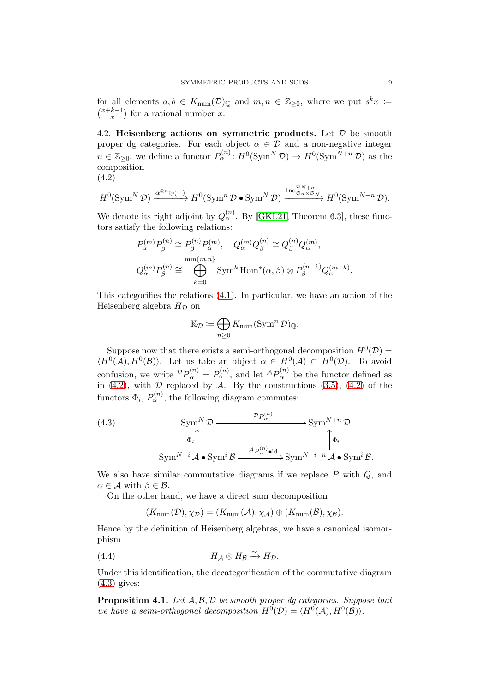for all elements  $a, b \in K_{\text{num}}(\mathcal{D})_{\mathbb{Q}}$  and  $m, n \in \mathbb{Z}_{\geq 0}$ , where we put  $s^k x \coloneqq$  $\binom{x+k-1}{x}$  $\binom{k-1}{x}$  for a rational number x.

4.2. Heisenberg actions on symmetric products. Let  $\mathcal D$  be smooth proper dg categories. For each object  $\alpha \in \mathcal{D}$  and a non-negative integer  $n \in \mathbb{Z}_{\geq 0}$ , we define a functor  $P_{\alpha}^{(n)}: H^0(\text{Sym}^N \mathcal{D}) \to H^0(\text{Sym}^{N+n} \mathcal{D})$  as the composition

$$
(4.2)
$$

<span id="page-8-0"></span>
$$
H^0(\operatorname{Sym}^N \mathcal{D}) \xrightarrow{\alpha^{\otimes n} \otimes (-)} H^0(\operatorname{Sym}^n \mathcal{D} \bullet \operatorname{Sym}^N \mathcal{D}) \xrightarrow{\operatorname{Ind}^{\mathfrak{S}_{N+n}}_{\mathfrak{S}_n \times \mathfrak{S}_N}} H^0(\operatorname{Sym}^{N+n} \mathcal{D}).
$$

We denote its right adjoint by  $Q_{\alpha}^{(n)}$ . By [\[GKL21,](#page-11-2) Theorem 6.3], these functors satisfy the following relations:

$$
P_{\alpha}^{(m)}P_{\beta}^{(n)} \cong P_{\beta}^{(n)}P_{\alpha}^{(m)}, \quad Q_{\alpha}^{(m)}Q_{\beta}^{(n)} \cong Q_{\beta}^{(n)}Q_{\alpha}^{(m)},
$$
  

$$
Q_{\alpha}^{(m)}P_{\beta}^{(n)} \cong \bigoplus_{k=0}^{\min\{m,n\}} \text{Sym}^k \text{Hom}^*(\alpha, \beta) \otimes P_{\beta}^{(n-k)}Q_{\alpha}^{(m-k)}.
$$

This categorifies the relations [\(4.1\)](#page-7-2). In particular, we have an action of the Heisenberg algebra  $H_{\mathcal{D}}$  on

$$
\mathbb{K}_{\mathcal{D}} \coloneqq \bigoplus_{n \geq 0} K_{\text{num}}(\text{Sym}^n \mathcal{D})_{\mathbb{Q}}.
$$

Suppose now that there exists a semi-orthogonal decomposition  $H^0(\mathcal{D}) =$  $\langle H^0(\mathcal{A}), H^0(\mathcal{B})\rangle$ . Let us take an object  $\alpha \in H^0(\mathcal{A}) \subset H^0(\mathcal{D})$ . To avoid confusion, we write  ${}^{\mathcal{D}}P_{\alpha}^{(n)} = P_{\alpha}^{(n)}$ , and let  ${}^{\mathcal{A}}P_{\alpha}^{(n)}$  be the functor defined as in [\(4.2\)](#page-8-0), with  $\overline{\mathcal{D}}$  replaced by  $\overline{\mathcal{A}}$ . By the constructions [\(3.5\)](#page-7-3), (4.2) of the functors  $\Phi_i$ ,  $P_\alpha^{(n)}$ , the following diagram commutes:

<span id="page-8-1"></span>(4.3) 
$$
\operatorname{Sym}^{N} \mathcal{D} \xrightarrow{\mathcal{D}_{P_{\alpha}}^{(n)}} \operatorname{Sym}^{N+n} \mathcal{D}
$$

$$
\overset{\Phi_{i}}{\longrightarrow} \operatorname{Sym}^{N-i} \mathcal{A} \bullet \operatorname{Sym}^{i} \mathcal{B} \xrightarrow{\mathcal{A}_{P_{\alpha}}^{(n)} \bullet id} \operatorname{Sym}^{N-i+n} \mathcal{A} \bullet \operatorname{Sym}^{i} \mathcal{B}.
$$

We also have similar commutative diagrams if we replace  $P$  with  $Q$ , and  $\alpha \in \mathcal{A}$  with  $\beta \in \mathcal{B}$ .

On the other hand, we have a direct sum decomposition

<span id="page-8-2"></span>
$$
(K_{\text{num}}(\mathcal{D}), \chi_{\mathcal{D}}) = (K_{\text{num}}(\mathcal{A}), \chi_{\mathcal{A}}) \oplus (K_{\text{num}}(\mathcal{B}), \chi_{\mathcal{B}}).
$$

Hence by the definition of Heisenberg algebras, we have a canonical isomorphism

(4.4) 
$$
H_{\mathcal{A}} \otimes H_{\mathcal{B}} \xrightarrow{\sim} H_{\mathcal{D}}.
$$

Under this identification, the decategorification of the commutative diagram [\(4.3\)](#page-8-1) gives:

<span id="page-8-3"></span>**Proposition 4.1.** Let  $A, B, D$  be smooth proper dg categories. Suppose that we have a semi-orthogonal decomposition  $H^0(\mathcal{D}) = \langle H^0(\mathcal{A}), H^0(\mathcal{B}) \rangle$ .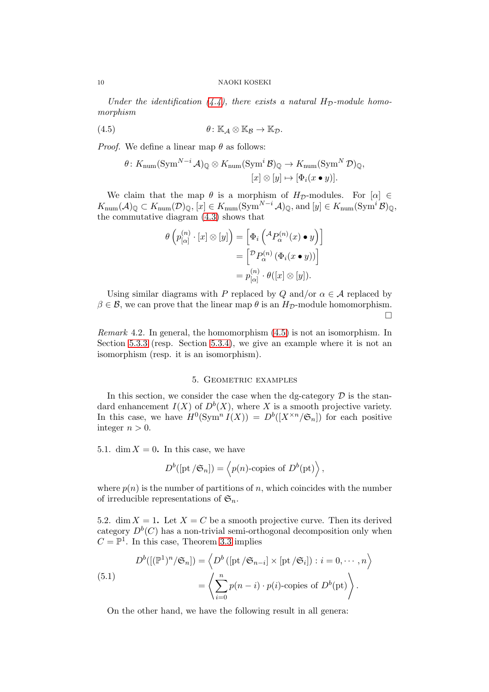Under the identification  $(4.4)$ , there exists a natural  $H_{\mathcal{D}}$ -module homomorphism

(4.5) 
$$
\theta: \mathbb{K}_{\mathcal{A}} \otimes \mathbb{K}_{\mathcal{B}} \to \mathbb{K}_{\mathcal{D}}.
$$

*Proof.* We define a linear map  $\theta$  as follows:

<span id="page-9-1"></span>
$$
\theta \colon K_{\text{num}}(\text{Sym}^{N-i} \mathcal{A})_{\mathbb{Q}} \otimes K_{\text{num}}(\text{Sym}^{i} \mathcal{B})_{\mathbb{Q}} \to K_{\text{num}}(\text{Sym}^{N} \mathcal{D})_{\mathbb{Q}},
$$

$$
[x] \otimes [y] \mapsto [\Phi_{i}(x \bullet y)].
$$

We claim that the map  $\theta$  is a morphism of  $H_{\mathcal{D}}$ -modules. For  $[\alpha] \in$  $K_{\text{num}}(\mathcal{A})_{\mathbb{Q}} \subset K_{\text{num}}(\mathcal{D})_{\mathbb{Q}}, \left[x\right] \in K_{\text{num}}(\text{Sym}^{N-i} \mathcal{A})_{\mathbb{Q}}, \text{and } [y] \in K_{\text{num}}(\text{Sym}^{i} \mathcal{B})_{\mathbb{Q}},$ the commutative diagram [\(4.3\)](#page-8-1) shows that

$$
\theta\left(p_{[\alpha]}^{(n)} \cdot [x] \otimes [y]\right) = \left[\Phi_i\left(^{\mathcal{A}}P_{\alpha}^{(n)}(x) \bullet y\right)\right]
$$

$$
= \left[\begin{matrix} \mathcal{D}P_{\alpha}^{(n)}\left(\Phi_i(x \bullet y)\right) \end{matrix}\right]
$$

$$
= p_{[\alpha]}^{(n)} \cdot \theta([x] \otimes [y]).
$$

Using similar diagrams with P replaced by Q and/or  $\alpha \in \mathcal{A}$  replaced by  $\beta \in \mathcal{B}$ , we can prove that the linear map  $\theta$  is an  $H_{\mathcal{D}}$ -module homomorphism.  $\Box$ 

Remark 4.2. In general, the homomorphism [\(4.5\)](#page-9-1) is not an isomorphism. In Section [5.3.3](#page-10-0) (resp. Section [5.3.4\)](#page-11-8), we give an example where it is not an isomorphism (resp. it is an isomorphism).

### 5. Geometric examples

<span id="page-9-0"></span>In this section, we consider the case when the dg-category  $D$  is the standard enhancement  $I(X)$  of  $D^b(X)$ , where X is a smooth projective variety. In this case, we have  $H^0(\text{Sym}^n I(X)) = D^b([X^{\times n}/\mathfrak{S}_n])$  for each positive integer  $n > 0$ .

5.1. dim  $X = 0$ . In this case, we have

$$
D^{b}([\text{pt }/\mathfrak{S}_n]) = \left\langle p(n)\text{-copies of } D^{b}(\text{pt})\right\rangle,
$$

where  $p(n)$  is the number of partitions of n, which coincides with the number of irreducible representations of  $\mathfrak{S}_n$ .

5.2. dim  $X = 1$ . Let  $X = C$  be a smooth projective curve. Then its derived category  $D^b(C)$  has a non-trivial semi-orthogonal decomposition only when  $C = \mathbb{P}^1$ . In this case, Theorem [3.3](#page-7-1) implies

(5.1)  

$$
D^{b}([(\mathbb{P}^{1})^{n}/\mathfrak{S}_{n}]) = \left\langle D^{b}([{\rm pt}/\mathfrak{S}_{n-i}] \times [{\rm pt}/\mathfrak{S}_{i}]): i = 0, \cdots, n \right\rangle
$$

$$
= \left\langle \sum_{i=0}^{n} p(n-i) \cdot p(i) \text{-copies of } D^{b}({\rm pt}) \right\rangle.
$$

On the other hand, we have the following result in all genera: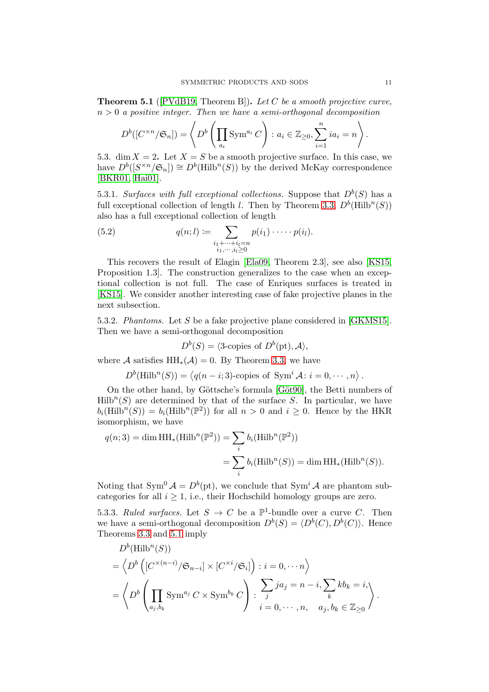<span id="page-10-1"></span>**Theorem 5.1** ( $[PVdB19, Theorem B]$  $[PVdB19, Theorem B]$ ). Let C be a smooth projective curve,  $n > 0$  a positive integer. Then we have a semi-orthogonal decomposition

$$
D^{b}([C^{\times n}/\mathfrak{S}_{n}]) = \left\langle D^{b}\left(\prod_{a_{i}} \operatorname{Sym}^{a_{i}} C\right) : a_{i} \in \mathbb{Z}_{\geq 0}, \sum_{i=1}^{n} ia_{i} = n \right\rangle.
$$

5.3. dim  $X = 2$ . Let  $X = S$  be a smooth projective surface. In this case, we have  $D^b([S^{\times n}/\mathfrak{S}_n]) \cong D^b(\mathrm{Hilb}^n(S))$  by the derived McKay correspondence [\[BKR01,](#page-11-4) [Hai01\]](#page-12-3).

5.3.1. Surfaces with full exceptional collections. Suppose that  $D^b(S)$  has a full exceptional collection of length *l*. Then by Theorem [3.3,](#page-7-1)  $D^b$ (Hilb<sup>n</sup>(S)) also has a full exceptional collection of length

(5.2) 
$$
q(n; l) := \sum_{\substack{i_1 + \dots + i_l = n \\ i_1, \dots, i_l \ge 0}} p(i_1) \cdot \dots \cdot p(i_l).
$$

This recovers the result of Elagin [\[Ela09,](#page-11-12) Theorem 2.3], see also [\[KS15,](#page-12-10) Proposition 1.3]. The construction generalizes to the case when an exceptional collection is not full. The case of Enriques surfaces is treated in [\[KS15\]](#page-12-10). We consider another interesting case of fake projective planes in the next subsection.

5.3.2. Phantoms. Let S be a fake projective plane considered in [\[GKMS15\]](#page-11-13). Then we have a semi-orthogonal decomposition

$$
D^b(S) = \langle 3\text{-copies of } D^b(\text{pt}), \mathcal{A} \rangle,
$$

where A satisfies  $HH_*(\mathcal{A}) = 0$ . By Theorem [3.3,](#page-7-1) we have

 $D^b(\text{Hilb}^n(S)) = \langle q(n-i; 3) \text{-copies of } \text{Sym}^i \mathcal{A} : i = 0, \cdots, n \rangle$ .

On the other hand, by Göttsche's formula [Göt90], the Betti numbers of  $Hilb<sup>n</sup>(S)$  are determined by that of the surface S. In particular, we have  $b_i(Hilb^n(S)) = b_i(Hilb^n(\mathbb{P}^2))$  for all  $n > 0$  and  $i \geq 0$ . Hence by the HKR isomorphism, we have

$$
q(n;3) = \dim \operatorname{HH}_*(\operatorname{Hilb}^n(\mathbb{P}^2)) = \sum_i b_i(\operatorname{Hilb}^n(\mathbb{P}^2))
$$
  
= 
$$
\sum_i b_i(\operatorname{Hilb}^n(S)) = \dim \operatorname{HH}_*(\operatorname{Hilb}^n(S)).
$$

Noting that  $\text{Sym}^0 A = D^b(\text{pt})$ , we conclude that  $\text{Sym}^i A$  are phantom subcategories for all  $i \geq 1$ , i.e., their Hochschild homology groups are zero.

<span id="page-10-0"></span>5.3.3. Ruled surfaces. Let  $S \to C$  be a  $\mathbb{P}^1$ -bundle over a curve C. Then we have a semi-orthogonal decomposition  $D^b(S) = \langle D^b(C), D^b(C) \rangle$ . Hence Theorems [3.3](#page-7-1) and [5.1](#page-10-1) imply

$$
D^{b}(\text{Hilb}^{n}(S))
$$
  
=  $\langle D^{b} \left( [C^{\times (n-i)} / \mathfrak{S}_{n-i}] \times [C^{\times i} / \mathfrak{S}_{i}] \right) : i = 0, \dots n \rangle$   
=  $\langle D^{b} \left( \prod_{a_{j},b_{k}} \text{Sym}^{a_{j}} C \times \text{Sym}^{b_{k}} C \right) : \sum_{j} ja_{j} = n - i, \sum_{k} kb_{k} = i, \sum_{a_{j},b_{k}} \in \mathbb{Z}_{\geq 0} \rangle$ .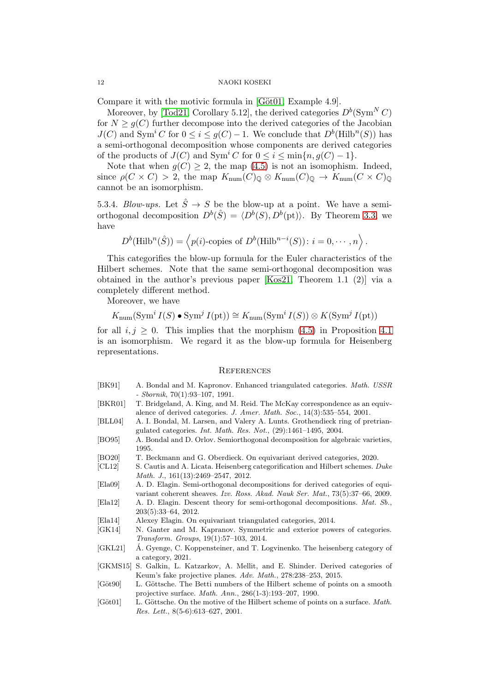Compare it with the motivic formula in  $[Göt01, Example 4.9].$ 

Moreover, by [\[Tod21,](#page-12-9) Corollary 5.12], the derived categories  $D^b(\text{Sym}^N C)$ for  $N \geq q(C)$  further decompose into the derived categories of the Jacobian  $J(C)$  and Sym<sup>i</sup> C for  $0 \le i \le g(C) - 1$ . We conclude that  $D^b$ (Hilb<sup>n</sup>(S)) has a semi-orthogonal decomposition whose components are derived categories of the products of  $J(C)$  and  $\text{Sym}^i C$  for  $0 \leq i \leq \min\{n, g(C) - 1\}.$ 

Note that when  $g(C) \geq 2$ , the map [\(4.5\)](#page-9-1) is not an isomophism. Indeed, since  $\rho(C \times C) > 2$ , the map  $K_{\text{num}}(C)_{\text{Q}} \otimes K_{\text{num}}(C)_{\text{Q}} \to K_{\text{num}}(C \times C)_{\text{Q}}$ cannot be an isomorphism.

<span id="page-11-8"></span>5.3.4. Blow-ups. Let  $\hat{S} \rightarrow S$  be the blow-up at a point. We have a semiorthogonal decomposition  $D^b(\hat{S}) = \langle D^b(S), D^b({\rm pt})\rangle$ . By Theorem [3.3,](#page-7-1) we have

$$
D^{b}(\mathrm{Hilb}^{n}(\hat{S})) = \langle p(i)\text{-copies of } D^{b}(\mathrm{Hilb}^{n-i}(S))\colon i = 0, \cdots, n \rangle
$$

.

This categorifies the blow-up formula for the Euler characteristics of the Hilbert schemes. Note that the same semi-orthogonal decomposition was obtained in the author's previous paper [\[Kos21,](#page-12-11) Theorem 1.1 (2)] via a completely different method.

Moreover, we have

 $K_{\text{num}}(\text{Sym}^i I(S) \bullet \text{Sym}^j I(\text{pt})) \cong K_{\text{num}}(\text{Sym}^i I(S)) \otimes K(\text{Sym}^j I(\text{pt}))$ 

for all  $i, j \geq 0$ . This implies that the morphism [\(4.5\)](#page-9-1) in Proposition [4.1](#page-8-3) is an isomorphism. We regard it as the blow-up formula for Heisenberg representations.

#### <span id="page-11-0"></span>**REFERENCES**

- <span id="page-11-9"></span>[BK91] A. Bondal and M. Kapronov. Enhanced triangulated categories. Math. USSR - Sbornik, 70(1):93–107, 1991.
- <span id="page-11-4"></span>[BKR01] T. Bridgeland, A. King, and M. Reid. The McKay correspondence as an equivalence of derived categories. J. Amer. Math. Soc., 14(3):535–554, 2001.
- <span id="page-11-6"></span>[BLL04] A. I. Bondal, M. Larsen, and Valery A. Lunts. Grothendieck ring of pretriangulated categories. Int. Math. Res. Not., (29):1461–1495, 2004.
- <span id="page-11-5"></span>[BO95] A. Bondal and D. Orlov. Semiorthogonal decomposition for algebraic varieties, 1995.
- <span id="page-11-10"></span>[BO20] T. Beckmann and G. Oberdieck. On equivariant derived categories, 2020.
- <span id="page-11-3"></span>[CL12] S. Cautis and A. Licata. Heisenberg categorification and Hilbert schemes. Duke Math. J., 161(13):2469–2547, 2012.
- <span id="page-11-12"></span>[Ela09] A. D. Elagin. Semi-orthogonal decompositions for derived categories of equivariant coherent sheaves. Izv. Ross. Akad. Nauk Ser. Mat., 73(5):37–66, 2009.
- <span id="page-11-7"></span>[Ela12] A. D. Elagin. Descent theory for semi-orthogonal decompositions. Mat. Sb., 203(5):33–64, 2012.
- <span id="page-11-11"></span>[Ela14] Alexey Elagin. On equivariant triangulated categories, 2014.
- <span id="page-11-1"></span>[GK14] N. Ganter and M. Kapranov. Symmetric and exterior powers of categories. Transform. Groups, 19(1):57–103, 2014.
- <span id="page-11-2"></span>[GKL21] A. Gyenge, C. Koppensteiner, and T. Logvinenko. The heisenberg category of a category, 2021.
- <span id="page-11-13"></span>[GKMS15] S. Galkin, L. Katzarkov, A. Mellit, and E. Shinder. Derived categories of Keum's fake projective planes. Adv. Math., 278:238–253, 2015.
- <span id="page-11-14"></span>[Göt90] L. Göttsche. The Betti numbers of the Hilbert scheme of points on a smooth projective surface. Math. Ann., 286(1-3):193–207, 1990.
- <span id="page-11-15"></span>[Göt01] L. Göttsche. On the motive of the Hilbert scheme of points on a surface. Math. Res. Lett., 8(5-6):613–627, 2001.